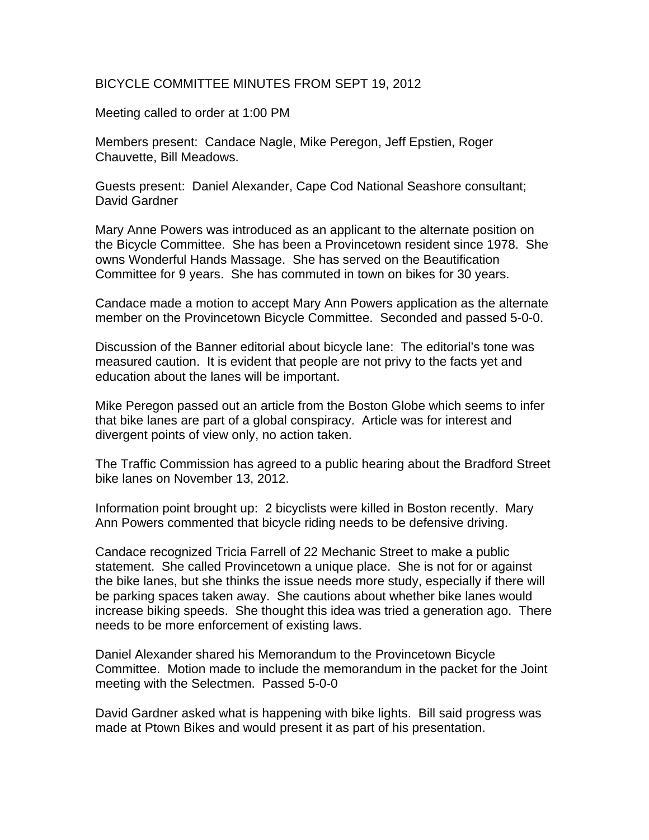## BICYCLE COMMITTEE MINUTES FROM SEPT 19, 2012

Meeting called to order at 1:00 PM

Members present: Candace Nagle, Mike Peregon, Jeff Epstien, Roger Chauvette, Bill Meadows.

Guests present: Daniel Alexander, Cape Cod National Seashore consultant; David Gardner

Mary Anne Powers was introduced as an applicant to the alternate position on the Bicycle Committee. She has been a Provincetown resident since 1978. She owns Wonderful Hands Massage. She has served on the Beautification Committee for 9 years. She has commuted in town on bikes for 30 years.

Candace made a motion to accept Mary Ann Powers application as the alternate member on the Provincetown Bicycle Committee. Seconded and passed 5-0-0.

Discussion of the Banner editorial about bicycle lane: The editorial's tone was measured caution. It is evident that people are not privy to the facts yet and education about the lanes will be important.

Mike Peregon passed out an article from the Boston Globe which seems to infer that bike lanes are part of a global conspiracy. Article was for interest and divergent points of view only, no action taken.

The Traffic Commission has agreed to a public hearing about the Bradford Street bike lanes on November 13, 2012.

Information point brought up: 2 bicyclists were killed in Boston recently. Mary Ann Powers commented that bicycle riding needs to be defensive driving.

Candace recognized Tricia Farrell of 22 Mechanic Street to make a public statement. She called Provincetown a unique place. She is not for or against the bike lanes, but she thinks the issue needs more study, especially if there will be parking spaces taken away. She cautions about whether bike lanes would increase biking speeds. She thought this idea was tried a generation ago. There needs to be more enforcement of existing laws.

Daniel Alexander shared his Memorandum to the Provincetown Bicycle Committee. Motion made to include the memorandum in the packet for the Joint meeting with the Selectmen. Passed 5-0-0

David Gardner asked what is happening with bike lights. Bill said progress was made at Ptown Bikes and would present it as part of his presentation.